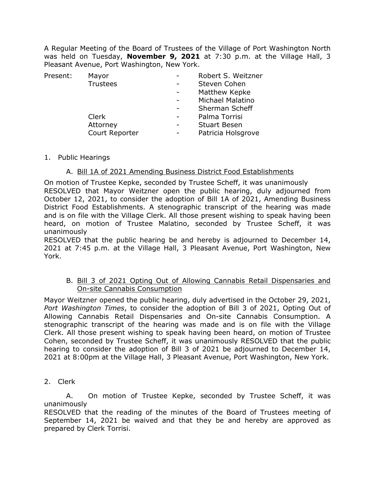A Regular Meeting of the Board of Trustees of the Village of Port Washington North was held on Tuesday, **November 9, 2021** at 7:30 p.m. at the Village Hall, 3 Pleasant Avenue, Port Washington, New York.

| Present: | Mayor           | Robert S. Weitzner  |
|----------|-----------------|---------------------|
|          | <b>Trustees</b> | Steven Cohen        |
|          |                 | Matthew Kepke       |
|          |                 | Michael Malatino    |
|          |                 | Sherman Scheff      |
|          | Clerk           | Palma Torrisi       |
|          | Attorney        | <b>Stuart Besen</b> |
|          | Court Reporter  | Patricia Holsgrove  |
|          |                 |                     |

1. Public Hearings

### A. Bill 1A of 2021 Amending Business District Food Establishments

On motion of Trustee Kepke, seconded by Trustee Scheff, it was unanimously RESOLVED that Mayor Weitzner open the public hearing, duly adjourned from October 12, 2021, to consider the adoption of Bill 1A of 2021, Amending Business District Food Establishments. A stenographic transcript of the hearing was made and is on file with the Village Clerk. All those present wishing to speak having been heard, on motion of Trustee Malatino, seconded by Trustee Scheff, it was unanimously

RESOLVED that the public hearing be and hereby is adjourned to December 14, 2021 at 7:45 p.m. at the Village Hall, 3 Pleasant Avenue, Port Washington, New York.

### B. Bill 3 of 2021 Opting Out of Allowing Cannabis Retail Dispensaries and On-site Cannabis Consumption

Mayor Weitzner opened the public hearing, duly advertised in the October 29, 2021, *Port Washington Times*, to consider the adoption of Bill 3 of 2021, Opting Out of Allowing Cannabis Retail Dispensaries and On-site Cannabis Consumption. A stenographic transcript of the hearing was made and is on file with the Village Clerk. All those present wishing to speak having been heard, on motion of Trustee Cohen, seconded by Trustee Scheff, it was unanimously RESOLVED that the public hearing to consider the adoption of Bill 3 of 2021 be adjourned to December 14, 2021 at 8:00pm at the Village Hall, 3 Pleasant Avenue, Port Washington, New York.

2. Clerk

A. On motion of Trustee Kepke, seconded by Trustee Scheff, it was unanimously

RESOLVED that the reading of the minutes of the Board of Trustees meeting of September 14, 2021 be waived and that they be and hereby are approved as prepared by Clerk Torrisi.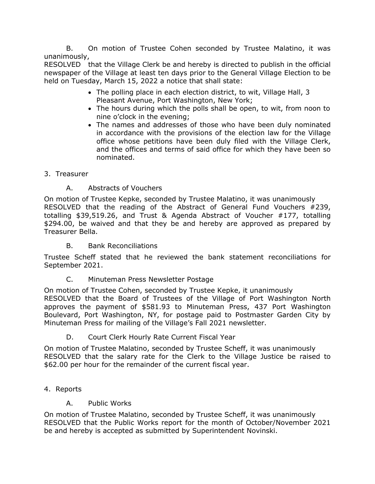B. On motion of Trustee Cohen seconded by Trustee Malatino, it was unanimously,

RESOLVED that the Village Clerk be and hereby is directed to publish in the official newspaper of the Village at least ten days prior to the General Village Election to be held on Tuesday, March 15, 2022 a notice that shall state:

- The polling place in each election district, to wit, Village Hall, 3 Pleasant Avenue, Port Washington, New York;
- The hours during which the polls shall be open, to wit, from noon to nine o'clock in the evening;
- The names and addresses of those who have been duly nominated in accordance with the provisions of the election law for the Village office whose petitions have been duly filed with the Village Clerk, and the offices and terms of said office for which they have been so nominated.

## 3. Treasurer

# A. Abstracts of Vouchers

On motion of Trustee Kepke, seconded by Trustee Malatino, it was unanimously RESOLVED that the reading of the Abstract of General Fund Vouchers #239, totalling \$39,519.26, and Trust & Agenda Abstract of Voucher #177, totalling \$294.00, be waived and that they be and hereby are approved as prepared by Treasurer Bella.

## B. Bank Reconciliations

Trustee Scheff stated that he reviewed the bank statement reconciliations for September 2021.

## C. Minuteman Press Newsletter Postage

On motion of Trustee Cohen, seconded by Trustee Kepke, it unanimously RESOLVED that the Board of Trustees of the Village of Port Washington North approves the payment of \$581.93 to Minuteman Press, 437 Port Washington Boulevard, Port Washington, NY, for postage paid to Postmaster Garden City by Minuteman Press for mailing of the Village's Fall 2021 newsletter.

## D. Court Clerk Hourly Rate Current Fiscal Year

On motion of Trustee Malatino, seconded by Trustee Scheff, it was unanimously RESOLVED that the salary rate for the Clerk to the Village Justice be raised to \$62.00 per hour for the remainder of the current fiscal year.

## 4. Reports

## A. Public Works

On motion of Trustee Malatino, seconded by Trustee Scheff, it was unanimously RESOLVED that the Public Works report for the month of October/November 2021 be and hereby is accepted as submitted by Superintendent Novinski.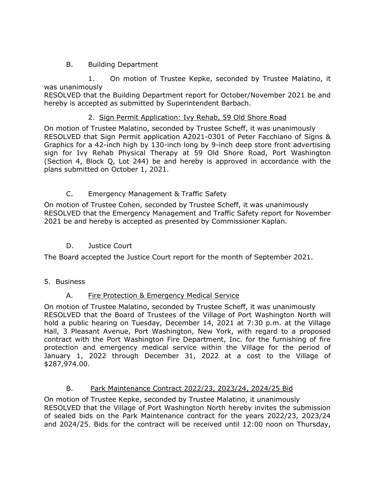## B. Building Department

1. On motion of Trustee Kepke, seconded by Trustee Malatino, it was unanimously

RESOLVED that the Building Department report for October/November 2021 be and hereby is accepted as submitted by Superintendent Barbach.

### 2. Sign Permit Application: Ivy Rehab, 59 Old Shore Road

On motion of Trustee Malatino, seconded by Trustee Scheff, it was unanimously RESOLVED that Sign Permit application A2021-0301 of Peter Facchiano of Signs & Graphics for a 42-inch high by 130-inch long by 9-inch deep store front advertising sign for Ivy Rehab Physical Therapy at 59 Old Shore Road, Port Washington (Section 4, Block Q, Lot 244) be and hereby is approved in accordance with the plans submitted on October 1, 2021.

## C. Emergency Management & Traffic Safety

On motion of Trustee Cohen, seconded by Trustee Scheff, it was unanimously RESOLVED that the Emergency Management and Traffic Safety report for November 2021 be and hereby is accepted as presented by Commissioner Kaplan.

## D. Justice Court

The Board accepted the Justice Court report for the month of September 2021.

5. Business

## A. Fire Protection & Emergency Medical Service

On motion of Trustee Malatino, seconded by Trustee Scheff, it was unanimously RESOLVED that the Board of Trustees of the Village of Port Washington North will hold a public hearing on Tuesday, December 14, 2021 at 7:30 p.m. at the Village Hall, 3 Pleasant Avenue, Port Washington, New York, with regard to a proposed contract with the Port Washington Fire Department, Inc. for the furnishing of fire protection and emergency medical service within the Village for the period of January 1, 2022 through December 31, 2022 at a cost to the Village of \$287,974.00.

## B. Park Maintenance Contract 2022/23, 2023/24, 2024/25 Bid

On motion of Trustee Kepke, seconded by Trustee Malatino, it unanimously RESOLVED that the Village of Port Washington North hereby invites the submission of sealed bids on the Park Maintenance contract for the years 2022/23, 2023/24 and 2024/25. Bids for the contract will be received until 12:00 noon on Thursday,